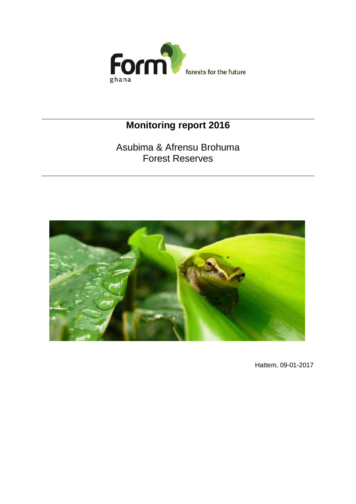

# **Monitoring report 2016**

Asubima & Afrensu Brohuma Forest Reserves



Hattem, 09-01-2017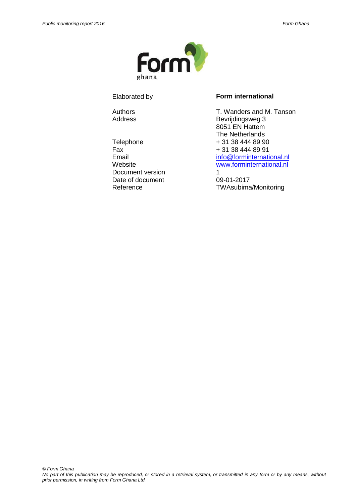

Document version 1 Date of document 09-01-2017

#### Elaborated by **Form international**

Authors **T. Wanders and M. Tanson** Address Bevrijdingsweg 3 8051 EN Hattem The Netherlands Telephone + 31 38 444 89 90<br>Fax + 31 38 444 89 91  $\begin{array}{r} \text{Fax} \\ \text{Final} \end{array}$  + 31 38 444 89 91 [info@forminternational.nl](mailto:info@forminternational.nl) Website **Website** [www.forminternational.nl](http://www.forminternational.nl/)

Reference TWAsubima/Monitoring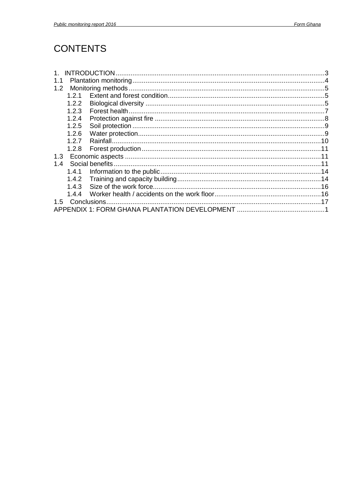# **CONTENTS**

| 1.1 |       |  |
|-----|-------|--|
| 1.2 |       |  |
|     | 1.2.1 |  |
|     | 1.2.2 |  |
|     | 1.2.3 |  |
|     | 1.2.4 |  |
|     | 1.2.5 |  |
|     | 1.2.6 |  |
|     | 1.2.7 |  |
|     | 1.2.8 |  |
| 1.3 |       |  |
| 1.4 |       |  |
|     | 1.4.1 |  |
|     | 1.4.2 |  |
|     | 1.4.3 |  |
|     | 1.4.4 |  |
| 1.5 |       |  |
|     |       |  |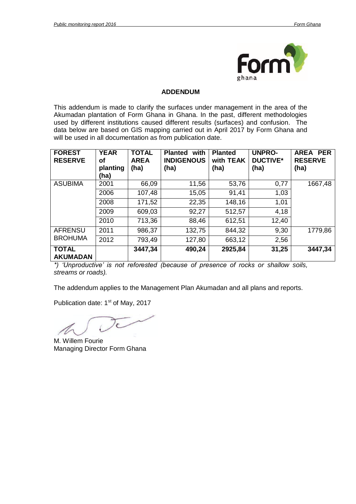

#### **ADDENDUM**

This addendum is made to clarify the surfaces under management in the area of the Akumadan plantation of Form Ghana in Ghana. In the past, different methodologies used by different institutions caused different results (surfaces) and confusion. The data below are based on GIS mapping carried out in April 2017 by Form Ghana and will be used in all documentation as from publication date.

| <b>FOREST</b><br><b>RESERVE</b> | <b>YEAR</b><br>οf<br>planting<br>(ha) | <b>TOTAL</b><br><b>AREA</b><br>(ha) | with<br><b>Planted</b><br><b>INDIGENOUS</b><br>(ha) | <b>Planted</b><br>with TEAK<br>(ha) | <b>UNPRO-</b><br><b>DUCTIVE*</b><br>(ha) | <b>PER</b><br><b>AREA</b><br><b>RESERVE</b><br>(ha) |
|---------------------------------|---------------------------------------|-------------------------------------|-----------------------------------------------------|-------------------------------------|------------------------------------------|-----------------------------------------------------|
| <b>ASUBIMA</b>                  | 2001                                  | 66,09                               | 11,56                                               | 53,76                               | 0,77                                     | 1667,48                                             |
|                                 | 2006                                  | 107,48                              | 15,05                                               | 91,41                               | 1,03                                     |                                                     |
|                                 | 2008                                  | 171,52                              | 22,35                                               | 148,16                              | 1,01                                     |                                                     |
|                                 | 2009                                  | 609,03                              | 92,27                                               | 512,57                              | 4,18                                     |                                                     |
|                                 | 2010                                  | 713,36                              | 88,46                                               | 612,51                              | 12,40                                    |                                                     |
| <b>AFRENSU</b>                  | 2011                                  | 986,37                              | 132,75                                              | 844,32                              | 9,30                                     | 1779,86                                             |
| <b>BROHUMA</b>                  | 2012                                  | 793,49                              | 127,80                                              | 663,12                              | 2,56                                     |                                                     |
| <b>TOTAL</b><br><b>AKUMADAN</b> |                                       | 3447,34                             | 490,24                                              | 2925,84                             | 31,25                                    | 3447,34                                             |

*\*) 'Unproductive' is not reforested (because of presence of rocks or shallow soils, streams or roads).* 

The addendum applies to the Management Plan Akumadan and all plans and reports.

Publication date: 1<sup>st</sup> of May, 2017

 $\overline{\mathcal{C}}$ 

M. Willem Fourie Managing Director Form Ghana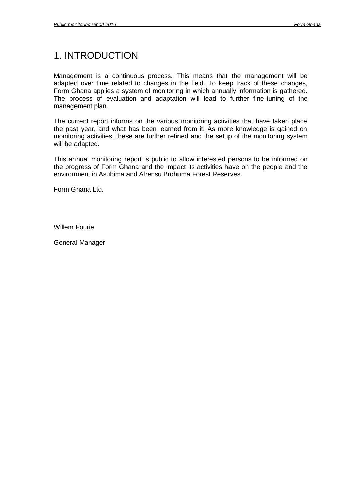# <span id="page-4-0"></span>1. INTRODUCTION

Management is a continuous process. This means that the management will be adapted over time related to changes in the field. To keep track of these changes, Form Ghana applies a system of monitoring in which annually information is gathered. The process of evaluation and adaptation will lead to further fine-tuning of the management plan.

The current report informs on the various monitoring activities that have taken place the past year, and what has been learned from it. As more knowledge is gained on monitoring activities, these are further refined and the setup of the monitoring system will be adapted.

This annual monitoring report is public to allow interested persons to be informed on the progress of Form Ghana and the impact its activities have on the people and the environment in Asubima and Afrensu Brohuma Forest Reserves.

Form Ghana Ltd.

Willem Fourie

General Manager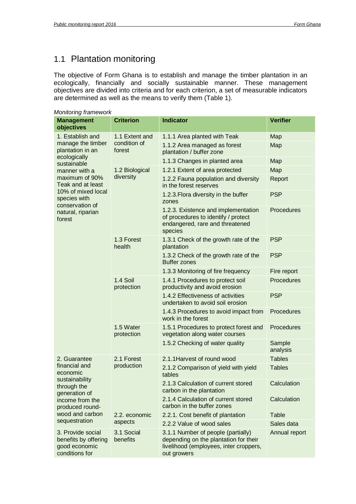# <span id="page-5-0"></span>1.1 Plantation monitoring

The objective of Form Ghana is to establish and manage the timber plantation in an ecologically, financially and socially sustainable manner. These management objectives are divided into criteria and for each criterion, a set of measurable indicators are determined as well as the means to verify them (Table 1).

| <b>Monitoring framework</b>                                                  |                         |                                                                                                                                      |                    |
|------------------------------------------------------------------------------|-------------------------|--------------------------------------------------------------------------------------------------------------------------------------|--------------------|
| <b>Management</b><br>objectives                                              | <b>Criterion</b>        | <b>Indicator</b>                                                                                                                     | <b>Verifier</b>    |
| 1. Establish and                                                             | 1.1 Extent and          | 1.1.1 Area planted with Teak                                                                                                         | Map                |
| manage the timber<br>plantation in an<br>ecologically                        | condition of<br>forest  | 1.1.2 Area managed as forest<br>plantation / buffer zone                                                                             | Map                |
| sustainable                                                                  |                         | 1.1.3 Changes in planted area                                                                                                        | Map                |
| manner with a                                                                | 1.2 Biological          | 1.2.1 Extent of area protected                                                                                                       | Map                |
| maximum of 90%<br>Teak and at least                                          | diversity               | 1.2.2 Fauna population and diversity<br>in the forest reserves                                                                       | Report             |
| 10% of mixed local<br>species with<br>conservation of                        |                         | 1.2.3. Flora diversity in the buffer<br>zones                                                                                        | <b>PSP</b>         |
| natural, riparian<br>forest                                                  |                         | 1.2.3. Existence and implementation<br>of procedures to identify / protect<br>endangered, rare and threatened<br>species             | Procedures         |
|                                                                              | 1.3 Forest<br>health    | 1.3.1 Check of the growth rate of the<br>plantation                                                                                  | <b>PSP</b>         |
|                                                                              |                         | 1.3.2 Check of the growth rate of the<br><b>Buffer zones</b>                                                                         | <b>PSP</b>         |
|                                                                              |                         | 1.3.3 Monitoring of fire frequency                                                                                                   | Fire report        |
|                                                                              | 1.4 Soil<br>protection  | 1.4.1 Procedures to protect soil<br>productivity and avoid erosion                                                                   | Procedures         |
|                                                                              |                         | 1.4.2 Effectiveness of activities<br>undertaken to avoid soil erosion                                                                | <b>PSP</b>         |
|                                                                              |                         | 1.4.3 Procedures to avoid impact from<br>work in the forest                                                                          | Procedures         |
|                                                                              | 1.5 Water<br>protection | 1.5.1 Procedures to protect forest and<br>vegetation along water courses                                                             | Procedures         |
|                                                                              |                         | 1.5.2 Checking of water quality                                                                                                      | Sample<br>analysis |
| 2. Guarantee                                                                 | 2.1 Forest              | 2.1.1 Harvest of round wood                                                                                                          | <b>Tables</b>      |
| financial and<br>economic<br>sustainability                                  | production              | 2.1.2 Comparison of yield with yield<br>tables                                                                                       | <b>Tables</b>      |
| through the<br>generation of                                                 |                         | 2.1.3 Calculation of current stored<br>carbon in the plantation                                                                      | Calculation        |
| income from the<br>produced round-                                           |                         | 2.1.4 Calculation of current stored<br>carbon in the buffer zones                                                                    | Calculation        |
| wood and carbon                                                              | 2.2. economic           | 2.2.1. Cost benefit of plantation                                                                                                    | <b>Table</b>       |
| sequestration                                                                | aspects                 | 2.2.2 Value of wood sales                                                                                                            | Sales data         |
| 3. Provide social<br>benefits by offering<br>good economic<br>conditions for | 3.1 Social<br>benefits  | 3.1.1 Number of people (partially)<br>depending on the plantation for their<br>livelihood (employees, inter croppers,<br>out growers | Annual report      |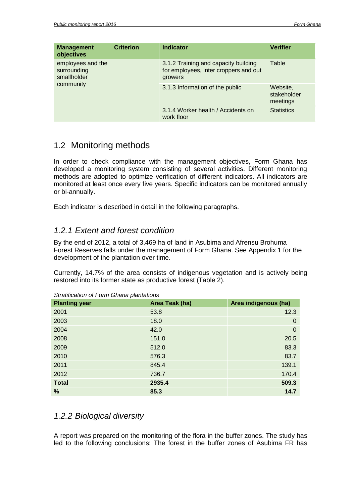| <b>Management</b><br>objectives                 | <b>Criterion</b> | <b>Indicator</b>                                                                         | <b>Verifier</b>                     |
|-------------------------------------------------|------------------|------------------------------------------------------------------------------------------|-------------------------------------|
| employees and the<br>surrounding<br>smallholder |                  | 3.1.2 Training and capacity building<br>for employees, inter croppers and out<br>growers | Table                               |
| community                                       |                  | 3.1.3 Information of the public                                                          | Website,<br>stakeholder<br>meetings |
|                                                 |                  | 3.1.4 Worker health / Accidents on<br>work floor                                         | <b>Statistics</b>                   |

# <span id="page-6-0"></span>1.2 Monitoring methods

In order to check compliance with the management objectives, Form Ghana has developed a monitoring system consisting of several activities. Different monitoring methods are adopted to optimize verification of different indicators. All indicators are monitored at least once every five years. Specific indicators can be monitored annually or bi-annually.

Each indicator is described in detail in the following paragraphs.

## <span id="page-6-1"></span>*1.2.1 Extent and forest condition*

By the end of 2012, a total of 3,469 ha of land in Asubima and Afrensu Brohuma Forest Reserves falls under the management of Form Ghana. See Appendix 1 for the development of the plantation over time.

Currently, 14.7% of the area consists of indigenous vegetation and is actively being restored into its former state as productive forest (Table 2).

| <b>Planting year</b> | Area Teak (ha) | Area indigenous (ha) |
|----------------------|----------------|----------------------|
| 2001                 | 53.8           | 12.3                 |
| 2003                 | 18.0           | $\mathbf 0$          |
| 2004                 | 42.0           | $\overline{0}$       |
| 2008                 | 151.0          | 20.5                 |
| 2009                 | 512.0          | 83.3                 |
| 2010                 | 576.3          | 83.7                 |
| 2011                 | 845.4          | 139.1                |
| 2012                 | 736.7          | 170.4                |
| <b>Total</b>         | 2935.4         | 509.3                |
| %                    | 85.3           | 14.7                 |

*Stratification of Form Ghana plantations* 

### <span id="page-6-2"></span>*1.2.2 Biological diversity*

A report was prepared on the monitoring of the flora in the buffer zones. The study has led to the following conclusions: The forest in the buffer zones of Asubima FR has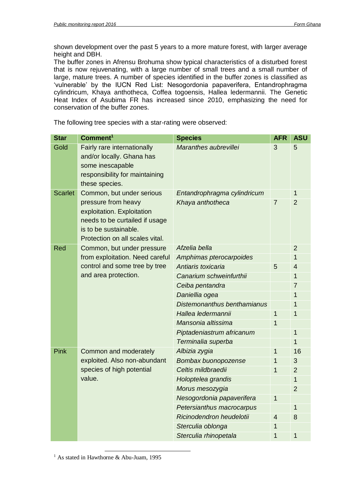shown development over the past 5 years to a more mature forest, with larger average height and DBH.

The buffer zones in Afrensu Brohuma show typical characteristics of a disturbed forest that is now rejuvenating, with a large number of small trees and a small number of large, mature trees. A number of species identified in the buffer zones is classified as 'vulnerable' by the IUCN Red List: Nesogordonia papaverifera, Entandrophragma cylindricum, Khaya anthotheca, Coffea togoensis, Hallea ledermannii. The Genetic Heat Index of Asubima FR has increased since 2010, emphasizing the need for conservation of the buffer zones.

The following tree species with a star-rating were observed:

| <b>Star</b>    | Comment <sup>1</sup>                                                                                                             | <b>Species</b>                                  | <b>AFR</b>     | <b>ASU</b>          |
|----------------|----------------------------------------------------------------------------------------------------------------------------------|-------------------------------------------------|----------------|---------------------|
| Gold           | Fairly rare internationally<br>and/or locally. Ghana has<br>some inescapable<br>responsibility for maintaining<br>these species. | Maranthes aubrevillei                           | 3              | 5                   |
| <b>Scarlet</b> | Common, but under serious<br>pressure from heavy                                                                                 | Entandrophragma cylindricum<br>Khaya anthotheca | $\overline{7}$ | 1<br>$\overline{2}$ |
|                | exploitation. Exploitation<br>needs to be curtailed if usage<br>is to be sustainable.<br>Protection on all scales vital.         |                                                 |                |                     |
| Red            | Common, but under pressure                                                                                                       | Afzelia bella                                   |                | $\overline{2}$      |
|                | from exploitation. Need careful                                                                                                  | Amphimas pterocarpoides                         |                | 1                   |
|                | control and some tree by tree                                                                                                    | Antiaris toxicaria                              | 5              | 4                   |
|                | and area protection.                                                                                                             | Canarium schweinfurthii                         |                | 1                   |
|                |                                                                                                                                  | Ceiba pentandra                                 |                | 7                   |
|                |                                                                                                                                  | Daniellia ogea                                  |                | 1                   |
|                |                                                                                                                                  | Distemonanthus benthamianus                     |                | 1                   |
|                |                                                                                                                                  | Hallea ledermannii                              | 1              | 1                   |
|                |                                                                                                                                  | Mansonia altissima                              | $\overline{1}$ |                     |
|                |                                                                                                                                  | Piptadeniastrum africanum                       |                | 1                   |
|                |                                                                                                                                  | Terminalia superba                              |                | 1                   |
| Pink           | Common and moderately                                                                                                            | Albizia zygia                                   | 1              | 16                  |
|                | exploited. Also non-abundant                                                                                                     | Bombax buonopozense                             | 1              | 3                   |
|                | species of high potential                                                                                                        | Celtis mildbraedii                              | 1              | $\overline{2}$      |
|                | value.                                                                                                                           | Holoptelea grandis                              |                | 1                   |
|                |                                                                                                                                  | Morus mesozygia                                 |                | $\overline{2}$      |
|                |                                                                                                                                  | Nesogordonia papaverifera                       | 1              |                     |
|                |                                                                                                                                  | Petersianthus macrocarpus                       |                | 1                   |
|                |                                                                                                                                  | Ricinodendron heudelotii                        | 4              | 8                   |
|                |                                                                                                                                  | Sterculia oblonga                               | 1              |                     |
|                |                                                                                                                                  | Sterculia rhinopetala                           | 1              | 1                   |

-<sup>1</sup> As stated in Hawthorne & Abu-Juam, 1995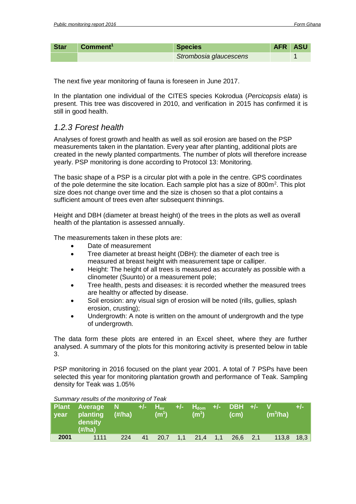| <b>Star</b> | Comment <sup>1</sup> | <b>Species</b>         | AFR ASU |  |
|-------------|----------------------|------------------------|---------|--|
|             |                      | Strombosia glaucescens |         |  |

The next five year monitoring of fauna is foreseen in June 2017.

In the plantation one individual of the CITES species Kokrodua (*Percicopsis elata*) is present. This tree was discovered in 2010, and verification in 2015 has confirmed it is still in good health.

#### <span id="page-8-0"></span>*1.2.3 Forest health*

Analyses of forest growth and health as well as soil erosion are based on the PSP measurements taken in the plantation. Every year after planting, additional plots are created in the newly planted compartments. The number of plots will therefore increase yearly. PSP monitoring is done according to Protocol 13: Monitoring.

The basic shape of a PSP is a circular plot with a pole in the centre. GPS coordinates of the pole determine the site location. Each sample plot has a size of  $800m^2$ . This plot size does not change over time and the size is chosen so that a plot contains a sufficient amount of trees even after subsequent thinnings.

Height and DBH (diameter at breast height) of the trees in the plots as well as overall health of the plantation is assessed annually.

The measurements taken in these plots are:

- Date of measurement
- Tree diameter at breast height (DBH): the diameter of each tree is measured at breast height with measurement tape or calliper.
- Height: The height of all trees is measured as accurately as possible with a clinometer (Suunto) or a measurement pole;
- Tree health, pests and diseases: it is recorded whether the measured trees are healthy or affected by disease.
- Soil erosion: any visual sign of erosion will be noted (rills, gullies, splash erosion, crusting);
- Undergrowth: A note is written on the amount of undergrowth and the type of undergrowth.

The data form these plots are entered in an Excel sheet, where they are further analysed. A summary of the plots for this monitoring activity is presented below in table 3.

PSP monitoring in 2016 focused on the plant year 2001. A total of 7 PSPs have been selected this year for monitoring plantation growth and performance of Teak. Sampling density for Teak was 1.05%

|      | <b>Uttilling</b> roodito of the monitoring of roan |        |         |                                   |        |                   |              |                   |     |                                  |       |  |
|------|----------------------------------------------------|--------|---------|-----------------------------------|--------|-------------------|--------------|-------------------|-----|----------------------------------|-------|--|
| vear | Plant Average N<br>planting<br>density<br>(H/ha)   | (H/ha) | ' +/- i | $H_{\rm av}$<br>(m <sup>1</sup> ) | 74 F Z | (m <sup>1</sup> ) |              | (c <sub>m</sub> ) |     | <b>V</b><br>(m <sup>3</sup> /ha) | $+/-$ |  |
| 2001 | 1111                                               | 224    | 41      | 20.7                              | 1,1    | 21,4              | $\sqrt{1,1}$ | 26,6              | 2,1 | 113,8                            | 18,3  |  |

#### *Summary results of the monitoring of Teak*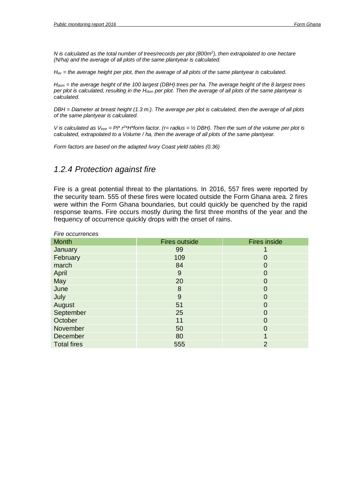*N is calculated as the total number of trees/records per plot (800m<sup>2</sup> ), then extrapolated to one hectare (N/ha) and the average of all plots of the same plantyear is calculated.* 

*Hav = the average height per plot, then the average of all plots of the same plantyear is calculated.* 

*Hdom = the average height of the 100 largest (DBH) trees per ha. The average height of the 8 largest trees per plot is calculated, resulting in the Hdom per plot. Then the average of all plots of the same plantyear is calculated.* 

*DBH = Diameter at breast height (1.3 m.). The average per plot is calculated, then the average of all plots of the same plantyear is calculated.* 

*V* is calculated as  $V_{tree} = Pi^* r^2 H^* form$  factor. (r= radius = ½ DBH). Then the sum of the volume per plot is *calculated, extrapolated to a Volume / ha, then the average of all plots of the same plantyear.* 

*Form factors are based on the adapted Ivory Coast yield tables (0.36)* 

# <span id="page-9-0"></span>*1.2.4 Protection against fire*

Fire is a great potential threat to the plantations. In 2016, 557 fires were reported by the security team. 555 of these fires were located outside the Form Ghana area. 2 fires were within the Form Ghana boundaries, but could quickly be quenched by the rapid response teams. Fire occurs mostly during the first three months of the year and the frequency of occurrence quickly drops with the onset of rains.

| Fire occurrences   |                      |                     |
|--------------------|----------------------|---------------------|
| <b>Month</b>       | <b>Fires outside</b> | <b>Fires inside</b> |
| January            | 99                   |                     |
| February           | 109                  | 0                   |
| march              | 84                   | 0                   |
| April              | 9                    | 0                   |
| May                | 20                   | 0                   |
| June               | 8                    | 0                   |
| July               | 9                    | 0                   |
| August             | 51                   | 0                   |
| September          | 25                   | 0                   |
| October            | 11                   | 0                   |
| November           | 50                   | 0                   |
| December           | 80                   |                     |
| <b>Total fires</b> | 555                  | $\overline{2}$      |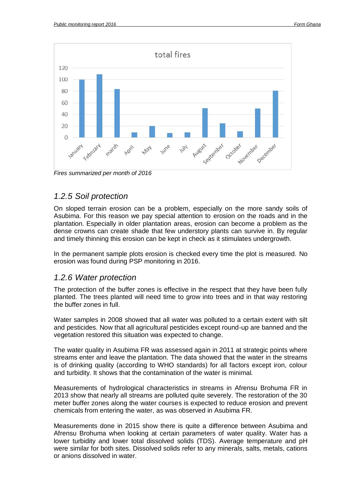

*Fires summarized per month of 2016*

## <span id="page-10-0"></span>*1.2.5 Soil protection*

On sloped terrain erosion can be a problem, especially on the more sandy soils of Asubima. For this reason we pay special attention to erosion on the roads and in the plantation. Especially in older plantation areas, erosion can become a problem as the dense crowns can create shade that few understory plants can survive in. By regular and timely thinning this erosion can be kept in check as it stimulates undergrowth.

In the permanent sample plots erosion is checked every time the plot is measured. No erosion was found during PSP monitoring in 2016.

#### <span id="page-10-1"></span>*1.2.6 Water protection*

The protection of the buffer zones is effective in the respect that they have been fully planted. The trees planted will need time to grow into trees and in that way restoring the buffer zones in full.

Water samples in 2008 showed that all water was polluted to a certain extent with silt and pesticides. Now that all agricultural pesticides except round-up are banned and the vegetation restored this situation was expected to change.

The water quality in Asubima FR was assessed again in 2011 at strategic points where streams enter and leave the plantation. The data showed that the water in the streams is of drinking quality (according to WHO standards) for all factors except iron, colour and turbidity. It shows that the contamination of the water is minimal.

Measurements of hydrological characteristics in streams in Afrensu Brohuma FR in 2013 show that nearly all streams are polluted quite severely. The restoration of the 30 meter buffer zones along the water courses is expected to reduce erosion and prevent chemicals from entering the water, as was observed in Asubima FR.

Measurements done in 2015 show there is quite a difference between Asubima and Afrensu Brohuma when looking at certain parameters of water quality. Water has a lower turbidity and lower total dissolved solids (TDS). Average temperature and pH were similar for both sites. Dissolved solids refer to any minerals, salts, metals, cations or anions dissolved in water.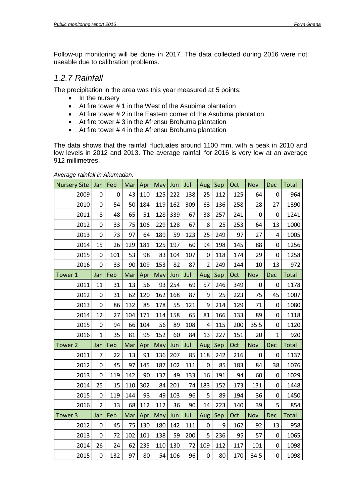Follow-up monitoring will be done in 2017. The data collected during 2016 were not useable due to calibration problems.

#### <span id="page-11-0"></span>*1.2.7 Rainfall*

The precipitation in the area was this year measured at 5 points:

- $\bullet$  In the nursery
- At fire tower # 1 in the West of the Asubima plantation
- At fire tower # 2 in the Eastern corner of the Asubima plantation.
- At fire tower # 3 in the Afrensu Brohuma plantation
- At fire tower # 4 in the Afrensu Brohuma plantation

The data shows that the rainfall fluctuates around 1100 mm, with a peak in 2010 and low levels in 2012 and 2013. The average rainfall for 2016 is very low at an average 912 millimetres.

*Average rainfall in Akumadan.*

| <b>Nursery Site</b> | Jan            | Feb            | Mar | Apr | May | Jun | Jul | Aug            | Sep | Oct | Nov         | Dec            | <b>Total</b> |
|---------------------|----------------|----------------|-----|-----|-----|-----|-----|----------------|-----|-----|-------------|----------------|--------------|
| 2009                | 0              | $\overline{0}$ | 43  | 110 | 125 | 222 | 138 | 25             | 112 | 125 | 64          | $\mathbf 0$    | 964          |
| 2010                | 0              | 54             | 50  | 184 | 119 | 162 | 309 | 63             | 136 | 258 | 28          | 27             | 1390         |
| 2011                | 8              | 48             | 65  | 51  | 128 | 339 | 67  | 38             | 257 | 241 | 0           | $\mathbf 0$    | 1241         |
| 2012                | 0              | 33             | 75  | 106 | 229 | 128 | 67  | 8              | 25  | 253 | 64          | 13             | 1000         |
| 2013                | 0              | 73             | 97  | 64  | 189 | 59  | 123 | 25             | 249 | 97  | 27          | 4              | 1005         |
| 2014                | 15             | 26             | 129 | 181 | 125 | 197 | 60  | 94             | 198 | 145 | 88          | $\overline{0}$ | 1256         |
| 2015                | 0              | 101            | 53  | 98  | 83  | 104 | 107 | 0              | 118 | 174 | 29          | 0              | 1258         |
| 2016                | 0              | 33             | 90  | 109 | 153 | 82  | 87  | $\overline{2}$ | 249 | 144 | 10          | 13             | 972          |
| Tower 1             | Jan            | Feb            | Mar | Apr | May | Jun | Jul | Aug            | Sep | Oct | Nov         | <b>Dec</b>     | Total        |
| 2011                | 11             | 31             | 13  | 56  | 93  | 254 | 69  | 57             | 246 | 349 | $\mathbf 0$ | 0              | 1178         |
| 2012                | 0              | 31             | 62  | 120 | 162 | 168 | 87  | 9              | 25  | 223 | 75          | 45             | 1007         |
| 2013                | 0              | 86             | 132 | 85  | 178 | 55  | 121 | 9              | 214 | 129 | 71          | $\overline{0}$ | 1080         |
| 2014                | 12             | 27             | 104 | 171 | 114 | 158 | 65  | 81             | 166 | 133 | 89          | 0              | 1118         |
| 2015                | 0              | 94             | 66  | 104 | 56  | 89  | 108 | 4              | 115 | 200 | 35.5        | 0              | 1120         |
| 2016                | $\mathbf{1}$   | 35             | 81  | 95  | 152 | 60  | 84  | 13             | 227 | 151 | 20          | $\mathbf{1}$   | 920          |
| Tower 2             | Jan            | Feb            | Mar | Apr | May | Jun | Jul | Aug            | Sep | Oct | Nov         | <b>Dec</b>     | <b>Total</b> |
| 2011                | 7              | 22             | 13  | 91  | 136 | 207 | 85  | 118            | 242 | 216 | $\mathbf 0$ | 0              | 1137         |
| 2012                | 0              | 45             | 97  | 145 | 187 | 102 | 111 | 0              | 85  | 183 | 84          | 38             | 1076         |
| 2013                | 0              | 119            | 142 | 90  | 137 | 49  | 133 | 16             | 191 | 94  | 60          | $\overline{0}$ | 1029         |
| 2014                | 25             | 15             | 110 | 302 | 84  | 201 | 74  | 183            | 152 | 173 | 131         | $\mathbf 0$    | 1448         |
| 2015                | 0              | 119            | 144 | 93  | 49  | 103 | 96  | 5              | 89  | 194 | 36          | 0              | 1450         |
| 2016                | $\overline{2}$ | 13             | 68  | 112 | 112 | 36  | 90  | 14             | 223 | 140 | 39          | 5              | 854          |
| Tower <sub>3</sub>  | Jan            | Feb            | Mar | Apr | May | Jun | Jul | Aug            | Sep | Oct | Nov         | Dec            | <b>Total</b> |
| 2012                | 0              | 45             | 75  | 130 | 180 | 142 | 111 | 0              | 9   | 162 | 92          | 13             | 958          |
| 2013                | 0              | 72             | 102 | 101 | 138 | 59  | 200 | 5              | 236 | 95  | 57          | $\mathbf 0$    | 1065         |
| 2014                | 26             | 24             | 62  | 235 | 110 | 130 | 72  | 109            | 112 | 117 | 101         | $\mathbf 0$    | 1098         |
| 2015                | 0              | 132            | 97  | 80  | 54  | 106 | 96  | 0              | 80  | 170 | 34.5        | 0              | 1098         |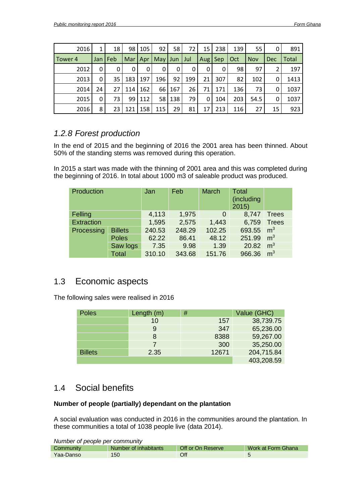| 2016    | 1     | 18  | 98    | 105 | 92  | 58  | 72. | 15         | 238 | 139 | 55         |            | 891          |
|---------|-------|-----|-------|-----|-----|-----|-----|------------|-----|-----|------------|------------|--------------|
| Tower 4 | Jan I | Feb | Mar   | Apr | May | Jun | Jul | <b>Aug</b> | Sep | Oct | <b>Nov</b> | <b>Dec</b> | <b>Total</b> |
| 2012    | 0     | 0   | 0     | 0   | 0   | 0   | 0   | 0          | 0   | 98  | 97         | ำ          | 197          |
| 2013    | 0     | 35  | 183   | 197 | 196 | 92  | 199 | 21         | 307 | 82  | 102        |            | 1413         |
| 2014    | 24    | 27  | 114 l | 162 | 66  | 167 | 26  | 71         | 171 | 136 | 73         |            | 1037         |
| 2015    | 0     | 73  | 99 I  | 112 | 58  | 138 | 79  | 0          | 104 | 203 | 54.5       |            | 1037         |
| 2016    | 8     | 23  | 121   | 158 | 115 | 29  | 81  | 17         | 213 | 116 | 27         | 15         | 923          |

## <span id="page-12-0"></span>*1.2.8 Forest production*

In the end of 2015 and the beginning of 2016 the 2001 area has been thinned. About 50% of the standing stems was removed during this operation.

In 2015 a start was made with the thinning of 2001 area and this was completed during the beginning of 2016. In total about 1000 m3 of saleable product was produced.

| Production        |                | Jan    | Feb    | <b>March</b> | <b>Total</b><br>(including<br>2015 |                |
|-------------------|----------------|--------|--------|--------------|------------------------------------|----------------|
| Felling           |                | 4,113  | 1,975  | 0            | 8,747                              | <b>Trees</b>   |
| <b>Extraction</b> |                | 1,595  | 2,575  | 1,443        | 6,759                              | <b>Trees</b>   |
| Processing        | <b>Billets</b> | 240.53 | 248.29 | 102.25       | 693.55                             | m <sup>3</sup> |
|                   | <b>Poles</b>   | 62.22  | 86.41  | 48.12        | 251.99                             | m <sup>3</sup> |
|                   | Saw logs       | 7.35   | 9.98   | 1.39         | 20.82                              | m <sup>3</sup> |
|                   | <b>Total</b>   | 310.10 | 343.68 | 151.76       | 966.36                             | m <sup>3</sup> |

# <span id="page-12-1"></span>1.3 Economic aspects

The following sales were realised in 2016

| <b>Poles</b>   | Length $(m)$ | #     | Value (GHC) |  |  |
|----------------|--------------|-------|-------------|--|--|
|                | 10           | 157   | 38,739.75   |  |  |
|                | 9            | 347   | 65,236.00   |  |  |
|                | 8            | 8388  | 59,267.00   |  |  |
|                |              | 300   | 35,250.00   |  |  |
| <b>Billets</b> | 2.35         | 12671 | 204,715.84  |  |  |
|                |              |       | 403,208.59  |  |  |

# <span id="page-12-2"></span>1.4 Social benefits

#### **Number of people (partially) dependant on the plantation**

A social evaluation was conducted in 2016 in the communities around the plantation. In these communities a total of 1038 people live (data 2014).

| Number of people per community |                                                                  |     |  |  |  |
|--------------------------------|------------------------------------------------------------------|-----|--|--|--|
| Community                      | Off or On Reserve<br>Work at Form Ghana<br>Number of inhabitants |     |  |  |  |
| Yaa-Danso                      | 150                                                              | Off |  |  |  |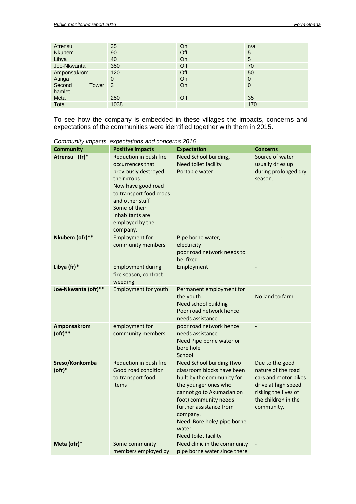| Atrensu                   | 35   | On        | n/a         |
|---------------------------|------|-----------|-------------|
| Nkubem                    | 90   | Off       | 5           |
| Libya                     | 40   | <b>On</b> | 5           |
| Joe-Nkwanta               | 350  | Off       | 70          |
| Amponsakrom               | 120  | Off       | 50          |
| Atinga                    | 0    | On        | 0           |
| Second<br>Tower<br>hamlet | 3    | On        | $\mathbf 0$ |
| Meta                      | 250  | Off       | 35          |
| Total                     | 1038 |           | 170         |

To see how the company is embedded in these villages the impacts, concerns and expectations of the communities were identified together with them in 2015.

|                                | 50                                                                                                                                                                                                                        |                                                                                                                                                                                                                                                                          |                                                                                                                                                   |
|--------------------------------|---------------------------------------------------------------------------------------------------------------------------------------------------------------------------------------------------------------------------|--------------------------------------------------------------------------------------------------------------------------------------------------------------------------------------------------------------------------------------------------------------------------|---------------------------------------------------------------------------------------------------------------------------------------------------|
| <b>Community</b>               | <b>Positive impacts</b>                                                                                                                                                                                                   | <b>Expectation</b>                                                                                                                                                                                                                                                       | <b>Concerns</b>                                                                                                                                   |
| Atrensu (fr)*                  | Reduction in bush fire<br>occurrences that<br>previously destroyed<br>their crops.<br>Now have good road<br>to transport food crops<br>and other stuff<br>Some of their<br>inhabitants are<br>employed by the<br>company. | Need School building,<br>Need toilet facility<br>Portable water                                                                                                                                                                                                          | Source of water<br>usually dries up<br>during prolonged dry<br>season.                                                                            |
| Nkubem (ofr)**                 | <b>Employment for</b><br>community members                                                                                                                                                                                | Pipe borne water,<br>electricity<br>poor road network needs to<br>be fixed                                                                                                                                                                                               |                                                                                                                                                   |
| Libya (fr)*                    | <b>Employment during</b><br>fire season, contract<br>weeding                                                                                                                                                              | Employment                                                                                                                                                                                                                                                               |                                                                                                                                                   |
| Joe-Nkwanta (ofr)**            | <b>Employment for youth</b>                                                                                                                                                                                               | Permanent employment for<br>the youth<br>Need school building<br>Poor road network hence<br>needs assistance                                                                                                                                                             | No land to farm                                                                                                                                   |
| Amponsakrom<br>$($ ofr $)**$   | employment for<br>community members                                                                                                                                                                                       | poor road network hence<br>needs assistance<br>Need Pipe borne water or<br>bore hole<br>School                                                                                                                                                                           |                                                                                                                                                   |
| Sreso/Konkomba<br>$($ ofr $)*$ | Reduction in bush fire<br>Good road condition<br>to transport food<br>items                                                                                                                                               | Need School building (two<br>classroom blocks have been<br>built by the community for<br>the younger ones who<br>cannot go to Akumadan on<br>foot) community needs<br>further assistance from<br>company.<br>Need Bore hole/ pipe borne<br>water<br>Need toilet facility | Due to the good<br>nature of the road<br>cars and motor bikes<br>drive at high speed<br>risking the lives of<br>the children in the<br>community. |
| Meta (ofr)*                    | Some community<br>members employed by                                                                                                                                                                                     | Need clinic in the community<br>pipe borne water since there                                                                                                                                                                                                             |                                                                                                                                                   |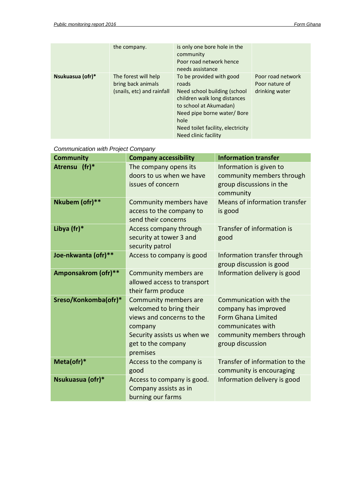|                  | the company.                                                             | is only one bore hole in the<br>community<br>Poor road network hence<br>needs assistance                                                                                                                                       |                                                       |
|------------------|--------------------------------------------------------------------------|--------------------------------------------------------------------------------------------------------------------------------------------------------------------------------------------------------------------------------|-------------------------------------------------------|
| Nsukuasua (ofr)* | The forest will help<br>bring back animals<br>(snails, etc) and rainfall | To be provided with good<br>roads<br>Need school building (school<br>children walk long distances<br>to school at Akumadan)<br>Need pipe borne water/Bore<br>hole<br>Need toilet facility, electricity<br>Need clinic facility | Poor road network<br>Poor nature of<br>drinking water |

| <b>Community</b>           | <b>Company accessibility</b>                                                                                                                              | <b>Information transfer</b>                                                                                                                       |
|----------------------------|-----------------------------------------------------------------------------------------------------------------------------------------------------------|---------------------------------------------------------------------------------------------------------------------------------------------------|
| $(fr)^*$<br><b>Atrensu</b> | The company opens its<br>doors to us when we have<br>issues of concern                                                                                    | Information is given to<br>community members through<br>group discussions in the<br>community                                                     |
| Nkubem (ofr)**             | <b>Community members have</b><br>access to the company to<br>send their concerns                                                                          | Means of information transfer<br>is good                                                                                                          |
| Libya (fr)*                | Access company through<br>security at tower 3 and<br>security patrol                                                                                      | Transfer of information is<br>good                                                                                                                |
| Joe-nkwanta (ofr)**        | Access to company is good                                                                                                                                 | Information transfer through<br>group discussion is good                                                                                          |
| Amponsakrom (ofr)**        | <b>Community members are</b><br>allowed access to transport<br>their farm produce                                                                         | Information delivery is good                                                                                                                      |
| Sreso/Konkomba(ofr)*       | Community members are<br>welcomed to bring their<br>views and concerns to the<br>company<br>Security assists us when we<br>get to the company<br>premises | Communication with the<br>company has improved<br><b>Form Ghana Limited</b><br>communicates with<br>community members through<br>group discussion |
| Meta(ofr)*                 | Access to the company is<br>good                                                                                                                          | Transfer of information to the<br>community is encouraging                                                                                        |
| Nsukuasua (ofr)*           | Access to company is good.<br>Company assists as in<br>burning our farms                                                                                  | Information delivery is good                                                                                                                      |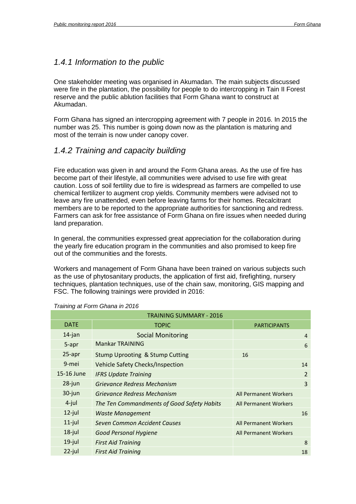#### <span id="page-15-0"></span>*1.4.1 Information to the public*

One stakeholder meeting was organised in Akumadan. The main subjects discussed were fire in the plantation, the possibility for people to do intercropping in Tain II Forest reserve and the public ablution facilities that Form Ghana want to construct at Akumadan.

Form Ghana has signed an intercropping agreement with 7 people in 2016. In 2015 the number was 25. This number is going down now as the plantation is maturing and most of the terrain is now under canopy cover.

### <span id="page-15-1"></span>*1.4.2 Training and capacity building*

Fire education was given in and around the Form Ghana areas. As the use of fire has become part of their lifestyle, all communities were advised to use fire with great caution. Loss of soil fertility due to fire is widespread as farmers are compelled to use chemical fertilizer to augment crop yields. Community members were advised not to leave any fire unattended, even before leaving farms for their homes. Recalcitrant members are to be reported to the appropriate authorities for sanctioning and redress. Farmers can ask for free assistance of Form Ghana on fire issues when needed during land preparation.

In general, the communities expressed great appreciation for the collaboration during the yearly fire education program in the communities and also promised to keep fire out of the communities and the forests.

Workers and management of Form Ghana have been trained on various subjects such as the use of phytosanitary products, the application of first aid, firefighting, nursery techniques, plantation techniques, use of the chain saw, monitoring, GIS mapping and FSC. The following trainings were provided in 2016:

| <b>TRAINING SUMMARY - 2016</b> |                                            |                              |                |  |  |  |
|--------------------------------|--------------------------------------------|------------------------------|----------------|--|--|--|
| <b>DATE</b>                    | <b>TOPIC</b>                               | <b>PARTICIPANTS</b>          |                |  |  |  |
| $14$ -jan                      | <b>Social Monitoring</b>                   |                              | 4              |  |  |  |
| 5-apr                          | <b>Mankar TRAINING</b>                     |                              | 6              |  |  |  |
| 25-apr                         | <b>Stump Uprooting &amp; Stump Cutting</b> | 16                           |                |  |  |  |
| 9-mei                          | Vehicle Safety Checks/Inspection           |                              | 14             |  |  |  |
| 15-16 June                     | <b>IFRS Update Training</b>                |                              | $\overline{2}$ |  |  |  |
| 28-jun                         | Grievance Redress Mechanism                |                              | 3              |  |  |  |
| 30-jun                         | Grievance Redress Mechanism                | <b>All Permanent Workers</b> |                |  |  |  |
| $4$ -jul                       | The Ten Commandments of Good Safety Habits | All Permanent Workers        |                |  |  |  |
| $12$ -jul                      | Waste Management                           |                              | 16             |  |  |  |
| $11$ -jul                      | Seven Common Accident Causes               | All Permanent Workers        |                |  |  |  |
| $18$ -jul                      | Good Personal Hygiene                      | <b>All Permanent Workers</b> |                |  |  |  |
| $19$ -jul                      | <b>First Aid Training</b>                  |                              | 8              |  |  |  |
| $22$ -jul                      | <b>First Aid Training</b>                  |                              | 18             |  |  |  |

#### *Training at Form Ghana in 2016*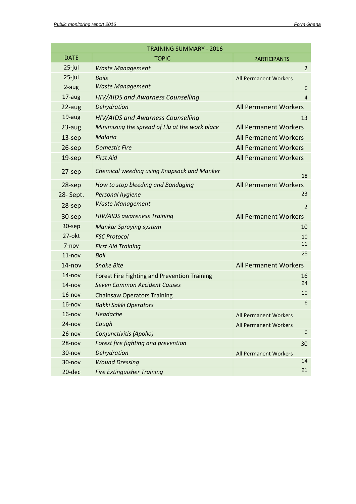|             | <b>TRAINING SUMMARY - 2016</b>                      |                              |
|-------------|-----------------------------------------------------|------------------------------|
| <b>DATE</b> | <b>TOPIC</b>                                        | <b>PARTICIPANTS</b>          |
| $25$ -jul   | <b>Waste Management</b>                             | $\overline{2}$               |
| $25$ -jul   | <b>Boils</b>                                        | <b>All Permanent Workers</b> |
| 2-aug       | <b>Waste Management</b>                             | 6                            |
| 17-aug      | HIV/AIDS and Awarness Counselling                   | $\overline{4}$               |
| 22-aug      | Dehydration                                         | <b>All Permanent Workers</b> |
| 19-aug      | <b>HIV/AIDS and Awarness Counselling</b>            | 13                           |
| 23-aug      | Minimizing the spread of Flu at the work place      | <b>All Permanent Workers</b> |
| $13$ -sep   | Malaria                                             | <b>All Permanent Workers</b> |
| 26-sep      | <b>Domestic Fire</b>                                | <b>All Permanent Workers</b> |
| $19$ -sep   | <b>First Aid</b>                                    | <b>All Permanent Workers</b> |
| $27$ -sep   | Chemical weeding using Knapsack and Manker          | 18                           |
| $28$ -sep   | How to stop bleeding and Bandaging                  | <b>All Permanent Workers</b> |
| 28-Sept.    | Personal hygiene                                    | 23                           |
| $28$ -sep   | <b>Waste Management</b>                             | 2                            |
| 30-sep      | HIV/AIDS awareness Training                         | <b>All Permanent Workers</b> |
| 30-sep      | <b>Mankar Spraying system</b>                       | 10                           |
| 27-okt      | <b>FSC Protocol</b>                                 | 10                           |
| 7-nov       | <b>First Aid Training</b>                           | 11                           |
| $11 - nov$  | <b>Boil</b>                                         | 25                           |
| $14 - nov$  | <b>Snake Bite</b>                                   | <b>All Permanent Workers</b> |
| $14 - nov$  | <b>Forest Fire Fighting and Prevention Training</b> | 16                           |
| $14 - nov$  | <b>Seven Common Accident Causes</b>                 | 24                           |
| $16 - n$ ov | <b>Chainsaw Operators Training</b>                  | 10                           |
| $16 - n$ ov | <b>Bakki Sakki Operators</b>                        | $6\phantom{1}6$              |
| $16 - n$ ov | Headache                                            | <b>All Permanent Workers</b> |
| $24 - nov$  | Cough                                               | <b>All Permanent Workers</b> |
| $26 - nov$  | Conjunctivitis (Apollo)                             | 9                            |
| $28 - nov$  | Forest fire fighting and prevention                 | 30                           |
| 30-nov      | Dehydration                                         | <b>All Permanent Workers</b> |
| 30-nov      | <b>Wound Dressing</b>                               | 14                           |
| $20$ -dec   | <b>Fire Extinguisher Training</b>                   | 21                           |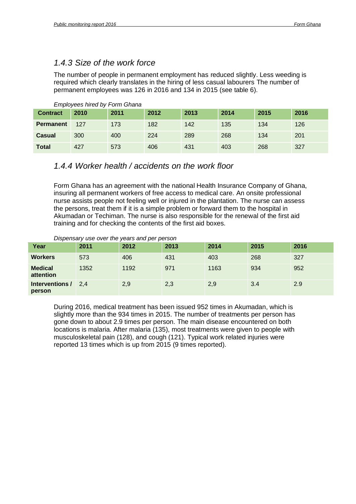### <span id="page-17-0"></span>*1.4.3 Size of the work force*

The number of people in permanent employment has reduced slightly. Less weeding is required which clearly translates in the hiring of less casual labourers The number of permanent employees was 126 in 2016 and 134 in 2015 (see table 6).

| <b>Contract</b>  | 2010 | 2011 | 2012 | 2013 | 2014 | 2015 | 2016 |
|------------------|------|------|------|------|------|------|------|
| <b>Permanent</b> | 127  | 173  | 182  | 142  | 135  | 134  | 126  |
| Casual           | 300  | 400  | 224  | 289  | 268  | 134  | 201  |
| <b>Total</b>     | 427  | 573  | 406  | 431  | 403  | 268  | 327  |

#### *Employees hired by Form Ghana*

#### <span id="page-17-1"></span>*1.4.4 Worker health / accidents on the work floor*

Form Ghana has an agreement with the national Health Insurance Company of Ghana, insuring all permanent workers of free access to medical care. An onsite professional nurse assists people not feeling well or injured in the plantation. The nurse can assess the persons, treat them if it is a simple problem or forward them to the hospital in Akumadan or Techiman. The nurse is also responsible for the renewal of the first aid training and for checking the contents of the first aid boxes.

#### *Dispensary use over the years and per person*

| Year                        | 2011 | 2012 | 2013 | 2014 | 2015 | 2016 |
|-----------------------------|------|------|------|------|------|------|
| <b>Workers</b>              | 573  | 406  | 431  | 403  | 268  | 327  |
| <b>Medical</b><br>attention | 1352 | 1192 | 971  | 1163 | 934  | 952  |
| Interventions /<br>person   | 2.4  | 2,9  | 2,3  | 2,9  | 3.4  | 2.9  |

During 2016, medical treatment has been issued 952 times in Akumadan, which is slightly more than the 934 times in 2015. The number of treatments per person has gone down to about 2.9 times per person. The main disease encountered on both locations is malaria. After malaria (135), most treatments were given to people with musculoskeletal pain (128), and cough (121). Typical work related injuries were reported 13 times which is up from 2015 (9 times reported).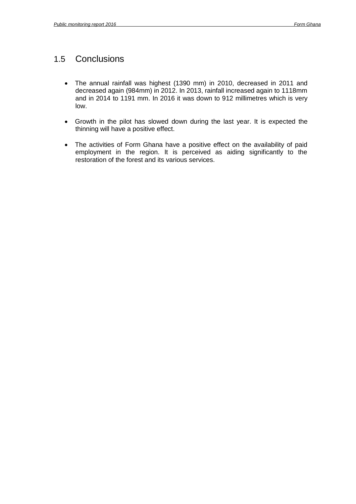# <span id="page-18-0"></span>1.5 Conclusions

- The annual rainfall was highest (1390 mm) in 2010, decreased in 2011 and decreased again (984mm) in 2012. In 2013, rainfall increased again to 1118mm and in 2014 to 1191 mm. In 2016 it was down to 912 millimetres which is very low.
- Growth in the pilot has slowed down during the last year. It is expected the thinning will have a positive effect.
- The activities of Form Ghana have a positive effect on the availability of paid employment in the region. It is perceived as aiding significantly to the restoration of the forest and its various services.